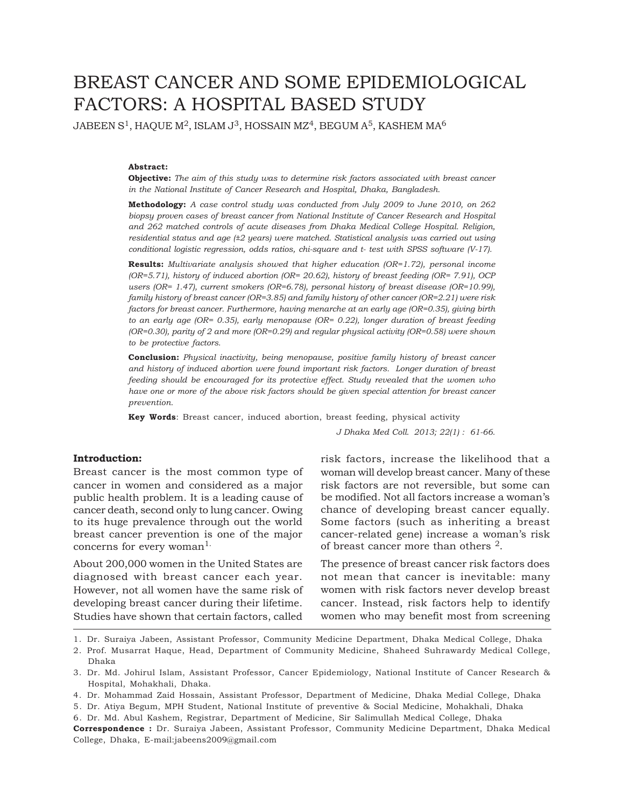# BREAST CANCER AND SOME EPIDEMIOLOGICAL FACTORS: A HOSPITAL BASED STUDY

JABEEN S<sup>1</sup>, HAQUE M<sup>2</sup>, ISLAM J<sup>3</sup>, HOSSAIN MZ<sup>4</sup>, BEGUM A<sup>5</sup>, KASHEM MA<sup>6</sup>

## **Abstract:**

**Objective:** *The aim of this study was to determine risk factors associated with breast cancer in the National Institute of Cancer Research and Hospital, Dhaka, Bangladesh.*

**Methodology:** *A case control study was conducted from July 2009 to June 2010, on 262 biopsy proven cases of breast cancer from National Institute of Cancer Research and Hospital and 262 matched controls of acute diseases from Dhaka Medical College Hospital. Religion, residential status and age (±2 years) were matched. Statistical analysis was carried out using conditional logistic regression, odds ratios, chi-square and t- test with SPSS software (V-17).*

**Results:** *Multivariate analysis showed that higher education (OR=1.72), personal income (OR=5.71), history of induced abortion (OR= 20.62), history of breast feeding (OR= 7.91), OCP users (OR= 1.47), current smokers (OR=6.78), personal history of breast disease (OR=10.99), family history of breast cancer (OR=3.85) and family history of other cancer (OR=2.21) were risk factors for breast cancer. Furthermore, having menarche at an early age (OR=0.35), giving birth to an early age (OR= 0.35), early menopause (OR= 0.22), longer duration of breast feeding (OR=0.30), parity of 2 and more (OR=0.29) and regular physical activity (OR=0.58) were shown to be protective factors.*

**Conclusion:** *Physical inactivity, being menopause, positive family history of breast cancer and history of induced abortion were found important risk factors. Longer duration of breast feeding should be encouraged for its protective effect. Study revealed that the women who have one or more of the above risk factors should be given special attention for breast cancer prevention.*

**Key Words**: Breast cancer, induced abortion, breast feeding, physical activity

*J Dhaka Med Coll. 2013; 22(1) : 61-66.*

## **Introduction:**

Breast cancer is the most common type of cancer in women and considered as a major public health problem. It is a leading cause of cancer death, second only to lung cancer. Owing to its huge prevalence through out the world breast cancer prevention is one of the major concerns for every woman<sup>1.</sup>

About 200,000 women in the United States are diagnosed with breast cancer each year. However, not all women have the same risk of developing breast cancer during their lifetime. Studies have shown that certain factors, called

risk factors, increase the likelihood that a woman will develop breast cancer. Many of these risk factors are not reversible, but some can be modified. Not all factors increase a woman's chance of developing breast cancer equally. Some factors (such as inheriting a breast cancer-related gene) increase a woman's risk of breast cancer more than others 2.

The presence of breast cancer risk factors does not mean that cancer is inevitable: many women with risk factors never develop breast cancer. Instead, risk factors help to identify women who may benefit most from screening

1. Dr. Suraiya Jabeen, Assistant Professor, Community Medicine Department, Dhaka Medical College, Dhaka

- 2. Prof. Musarrat Haque, Head, Department of Community Medicine, Shaheed Suhrawardy Medical College, Dhaka
- 3. Dr. Md. Johirul Islam, Assistant Professor, Cancer Epidemiology, National Institute of Cancer Research & Hospital, Mohakhali, Dhaka.
- 4. Dr. Mohammad Zaid Hossain, Assistant Professor, Department of Medicine, Dhaka Medial College, Dhaka

<sup>5.</sup> Dr. Atiya Begum, MPH Student, National Institute of preventive & Social Medicine, Mohakhali, Dhaka

<sup>6.</sup> Dr. Md. Abul Kashem, Registrar, Department of Medicine, Sir Salimullah Medical College, Dhaka

**Correspondence :** Dr. Suraiya Jabeen, Assistant Professor, Community Medicine Department, Dhaka Medical College, Dhaka, E-mail:jabeens2009@gmail.com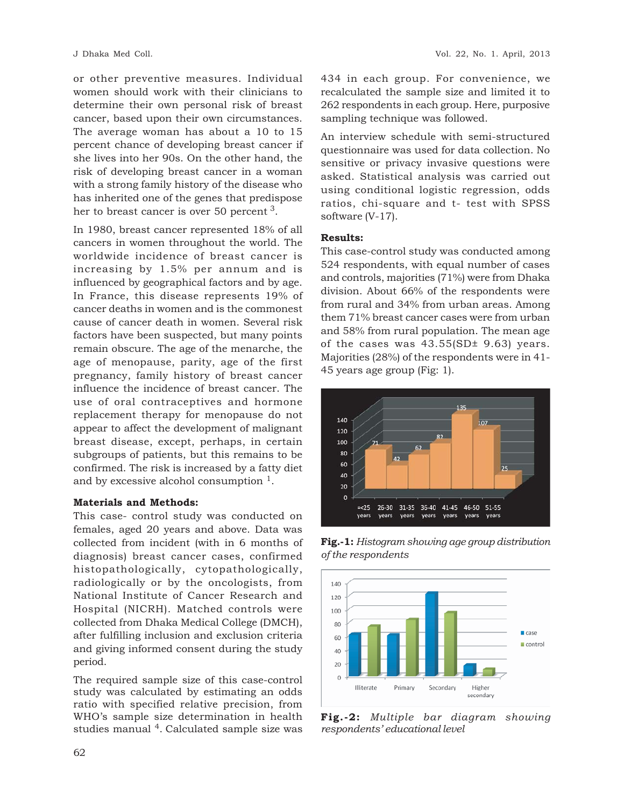or other preventive measures. Individual women should work with their clinicians to determine their own personal risk of breast cancer, based upon their own circumstances. The average woman has about a 10 to 15 percent chance of developing breast cancer if she lives into her 90s. On the other hand, the risk of developing breast cancer in a woman with a strong family history of the disease who has inherited one of the genes that predispose her to breast cancer is over 50 percent 3.

In 1980, breast cancer represented 18% of all cancers in women throughout the world. The worldwide incidence of breast cancer is increasing by 1.5% per annum and is influenced by geographical factors and by age. In France, this disease represents 19% of cancer deaths in women and is the commonest cause of cancer death in women. Several risk factors have been suspected, but many points remain obscure. The age of the menarche, the age of menopause, parity, age of the first pregnancy, family history of breast cancer influence the incidence of breast cancer. The use of oral contraceptives and hormone replacement therapy for menopause do not appear to affect the development of malignant breast disease, except, perhaps, in certain subgroups of patients, but this remains to be confirmed. The risk is increased by a fatty diet and by excessive alcohol consumption 1.

# **Materials and Methods:**

This case- control study was conducted on females, aged 20 years and above. Data was collected from incident (with in 6 months of diagnosis) breast cancer cases, confirmed histopathologically, cytopathologically, radiologically or by the oncologists, from National Institute of Cancer Research and Hospital (NICRH). Matched controls were collected from Dhaka Medical College (DMCH), after fulfilling inclusion and exclusion criteria and giving informed consent during the study period.

The required sample size of this case-control study was calculated by estimating an odds ratio with specified relative precision, from WHO's sample size determination in health studies manual <sup>4</sup>. Calculated sample size was

434 in each group. For convenience, we recalculated the sample size and limited it to 262 respondents in each group. Here, purposive sampling technique was followed.

An interview schedule with semi-structured questionnaire was used for data collection. No sensitive or privacy invasive questions were asked. Statistical analysis was carried out using conditional logistic regression, odds ratios, chi-square and t- test with SPSS software (V-17).

## **Results:**

This case-control study was conducted among 524 respondents, with equal number of cases and controls, majorities (71%) were from Dhaka division. About 66% of the respondents were from rural and 34% from urban areas. Among them 71% breast cancer cases were from urban and 58% from rural population. The mean age of the cases was 43.55(SD± 9.63) years. Majorities (28%) of the respondents were in 41- 45 years age group (Fig: 1).



**Fig.-1:** *Histogram showing age group distribution of the respondents*



**Fig.-2:** *Multiple bar diagram showing respondents' educational level*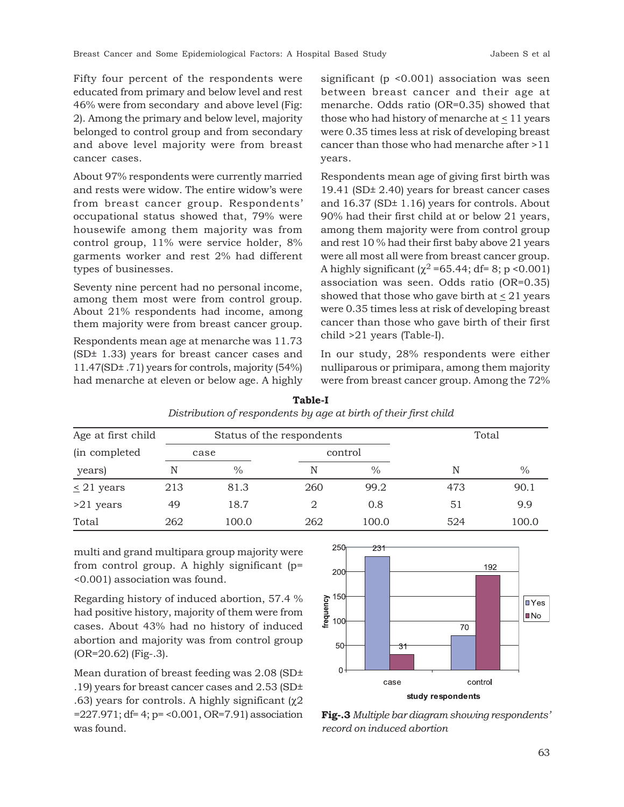Fifty four percent of the respondents were educated from primary and below level and rest 46% were from secondary and above level (Fig: 2). Among the primary and below level, majority belonged to control group and from secondary and above level majority were from breast cancer cases.

About 97% respondents were currently married and rests were widow. The entire widow's were from breast cancer group. Respondents' occupational status showed that, 79% were housewife among them majority was from control group, 11% were service holder, 8% garments worker and rest 2% had different types of businesses.

Seventy nine percent had no personal income, among them most were from control group. About 21% respondents had income, among them majority were from breast cancer group.

Respondents mean age at menarche was 11.73 (SD± 1.33) years for breast cancer cases and 11.47(SD± .71) years for controls, majority (54%) had menarche at eleven or below age. A highly significant (p <0.001) association was seen between breast cancer and their age at menarche. Odds ratio (OR=0.35) showed that those who had history of menarche at  $\leq 11$  years were 0.35 times less at risk of developing breast cancer than those who had menarche after >11 years.

Respondents mean age of giving first birth was 19.41 (SD± 2.40) years for breast cancer cases and 16.37 (SD± 1.16) years for controls. About 90% had their first child at or below 21 years, among them majority were from control group and rest 10 % had their first baby above 21 years were all most all were from breast cancer group. A highly significant ( $\chi^2$  =65.44; df= 8; p <0.001) association was seen. Odds ratio (OR=0.35) showed that those who gave birth at  $\leq 21$  years were 0.35 times less at risk of developing breast cancer than those who gave birth of their first child >21 years (Table-I).

In our study, 28% respondents were either nulliparous or primipara, among them majority were from breast cancer group. Among the 72%

| Age at first child |      | Status of the respondents |         | Total         |     |       |
|--------------------|------|---------------------------|---------|---------------|-----|-------|
| (in completed)     | case |                           | control |               |     |       |
| years)             | N    | $\%$                      | N       | $\frac{0}{0}$ | N   | $\%$  |
| $\leq$ 21 years    | 213  | 81.3                      | 260     | 99.2          | 473 | 90.1  |
| $>21$ years        | 49   | 18.7                      |         | 0.8           | 51  | 9.9   |
| Total              | 262  | 100.0                     | 262     | 100.0         | 524 | 100.0 |

**Table-I** *Distribution of respondents by age at birth of their first child*

multi and grand multipara group majority were from control group. A highly significant (p= <0.001) association was found.

Regarding history of induced abortion, 57.4 % had positive history, majority of them were from cases. About 43% had no history of induced abortion and majority was from control group (OR=20.62) (Fig-.3).

Mean duration of breast feeding was 2.08 (SD± .19) years for breast cancer cases and 2.53 (SD± .63) years for controls. A highly significant (χ2 =227.971; df= 4; p= <0.001, OR=7.91) association was found.



**Fig-.3** *Multiple bar diagram showing respondents' record on induced abortion*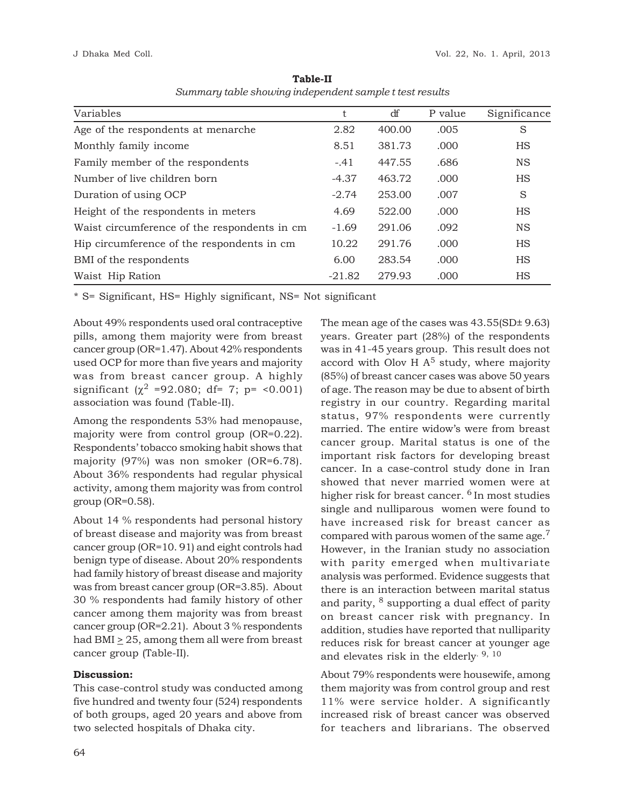| Variables                                    | t        | df     | P value | Significance |
|----------------------------------------------|----------|--------|---------|--------------|
| Age of the respondents at menarche           | 2.82     | 400.00 | .005    | S            |
| Monthly family income                        | 8.51     | 381.73 | .000    | <b>HS</b>    |
| Family member of the respondents             | $-.41$   | 447.55 | .686    | <b>NS</b>    |
| Number of live children born                 | $-4.37$  | 463.72 | .000    | <b>HS</b>    |
| Duration of using OCP                        | $-2.74$  | 253.00 | .007    | S            |
| Height of the respondents in meters          | 4.69     | 522.00 | .000    | <b>HS</b>    |
| Waist circumference of the respondents in cm | $-1.69$  | 291.06 | .092    | <b>NS</b>    |
| Hip circumference of the respondents in cm   | 10.22    | 291.76 | .000    | <b>HS</b>    |
| BMI of the respondents                       | 6.00     | 283.54 | .000    | <b>HS</b>    |
| Waist Hip Ration                             | $-21.82$ | 279.93 | .000    | <b>HS</b>    |

**Table-II** *Summary table showing independent sample t test results*

\* S= Significant, HS= Highly significant, NS= Not significant

About 49% respondents used oral contraceptive pills, among them majority were from breast cancer group (OR=1.47). About 42% respondents used OCP for more than five years and majority was from breast cancer group. A highly significant ( $\chi^2$  =92.080; df= 7; p= <0.001) association was found (Table-II).

Among the respondents 53% had menopause, majority were from control group (OR=0.22). Respondents' tobacco smoking habit shows that majority (97%) was non smoker (OR=6.78). About 36% respondents had regular physical activity, among them majority was from control group (OR=0.58).

About 14 % respondents had personal history of breast disease and majority was from breast cancer group (OR=10. 91) and eight controls had benign type of disease. About 20% respondents had family history of breast disease and majority was from breast cancer group (OR=3.85). About 30 % respondents had family history of other cancer among them majority was from breast cancer group (OR=2.21). About 3 % respondents had BMI  $\geq$  25, among them all were from breast cancer group (Table-II).

# **Discussion:**

This case-control study was conducted among five hundred and twenty four (524) respondents of both groups, aged 20 years and above from two selected hospitals of Dhaka city.

The mean age of the cases was 43.55(SD± 9.63) years. Greater part (28%) of the respondents was in 41-45 years group. This result does not accord with Olov H  $A<sup>5</sup>$  study, where majority (85%) of breast cancer cases was above 50 years of age. The reason may be due to absent of birth registry in our country. Regarding marital status, 97% respondents were currently married. The entire widow's were from breast cancer group. Marital status is one of the important risk factors for developing breast cancer. In a case-control study done in Iran showed that never married women were at higher risk for breast cancer. <sup>6</sup> In most studies single and nulliparous women were found to have increased risk for breast cancer as compared with parous women of the same age.<sup>7</sup> However, in the Iranian study no association with parity emerged when multivariate analysis was performed. Evidence suggests that there is an interaction between marital status and parity, 8 supporting a dual effect of parity on breast cancer risk with pregnancy. In addition, studies have reported that nulliparity reduces risk for breast cancer at younger age and elevates risk in the elderly. 9, 10

About 79% respondents were housewife, among them majority was from control group and rest 11% were service holder. A significantly increased risk of breast cancer was observed for teachers and librarians. The observed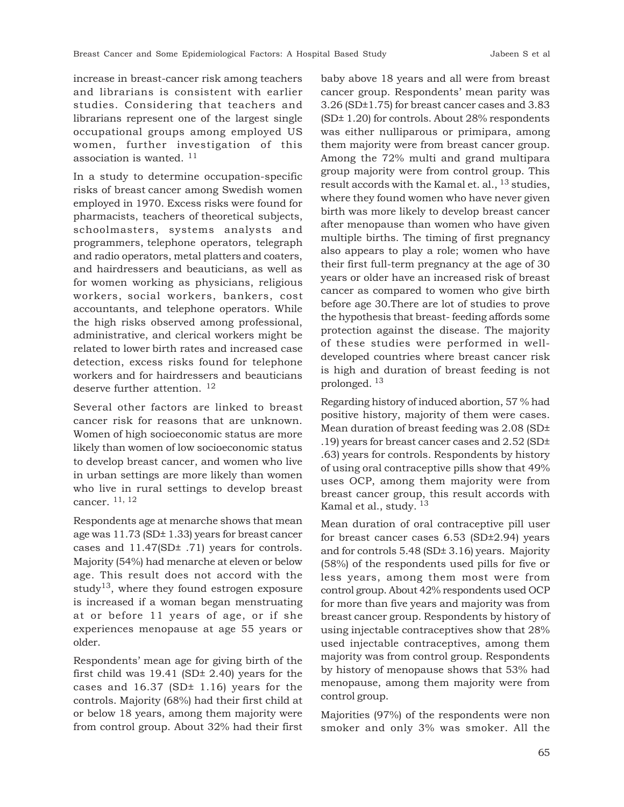increase in breast-cancer risk among teachers and librarians is consistent with earlier studies. Considering that teachers and librarians represent one of the largest single occupational groups among employed US women, further investigation of this association is wanted.  $^{11}$ 

In a study to determine occupation-specific risks of breast cancer among Swedish women employed in 1970. Excess risks were found for pharmacists, teachers of theoretical subjects, schoolmasters, systems analysts and programmers, telephone operators, telegraph and radio operators, metal platters and coaters, and hairdressers and beauticians, as well as for women working as physicians, religious workers, social workers, bankers, cost accountants, and telephone operators. While the high risks observed among professional, administrative, and clerical workers might be related to lower birth rates and increased case detection, excess risks found for telephone workers and for hairdressers and beauticians deserve further attention. <sup>12</sup>

Several other factors are linked to breast cancer risk for reasons that are unknown. Women of high socioeconomic status are more likely than women of low socioeconomic status to develop breast cancer, and women who live in urban settings are more likely than women who live in rural settings to develop breast cancer. 11, 12

Respondents age at menarche shows that mean age was 11.73 (SD± 1.33) years for breast cancer cases and 11.47(SD± .71) years for controls. Majority (54%) had menarche at eleven or below age. This result does not accord with the study<sup>13</sup>, where they found estrogen exposure is increased if a woman began menstruating at or before 11 years of age, or if she experiences menopause at age 55 years or older.

Respondents' mean age for giving birth of the first child was 19.41 (SD± 2.40) years for the cases and 16.37 (SD± 1.16) years for the controls. Majority (68%) had their first child at or below 18 years, among them majority were from control group. About 32% had their first

baby above 18 years and all were from breast cancer group. Respondents' mean parity was 3.26 (SD±1.75) for breast cancer cases and 3.83 (SD± 1.20) for controls. About 28% respondents was either nulliparous or primipara, among them majority were from breast cancer group. Among the 72% multi and grand multipara group majority were from control group. This result accords with the Kamal et. al., <sup>13</sup> studies, where they found women who have never given birth was more likely to develop breast cancer after menopause than women who have given multiple births. The timing of first pregnancy also appears to play a role; women who have their first full-term pregnancy at the age of 30 years or older have an increased risk of breast cancer as compared to women who give birth before age 30.There are lot of studies to prove the hypothesis that breast- feeding affords some protection against the disease. The majority of these studies were performed in welldeveloped countries where breast cancer risk is high and duration of breast feeding is not prolonged. 13

Regarding history of induced abortion, 57 % had positive history, majority of them were cases. Mean duration of breast feeding was 2.08 (SD± .19) years for breast cancer cases and 2.52 (SD± .63) years for controls. Respondents by history of using oral contraceptive pills show that 49% uses OCP, among them majority were from breast cancer group, this result accords with Kamal et al., study.  $13$ 

Mean duration of oral contraceptive pill user for breast cancer cases 6.53 (SD±2.94) years and for controls 5.48 (SD± 3.16) years. Majority (58%) of the respondents used pills for five or less years, among them most were from control group. About 42% respondents used OCP for more than five years and majority was from breast cancer group. Respondents by history of using injectable contraceptives show that 28% used injectable contraceptives, among them majority was from control group. Respondents by history of menopause shows that 53% had menopause, among them majority were from control group.

Majorities (97%) of the respondents were non smoker and only 3% was smoker. All the